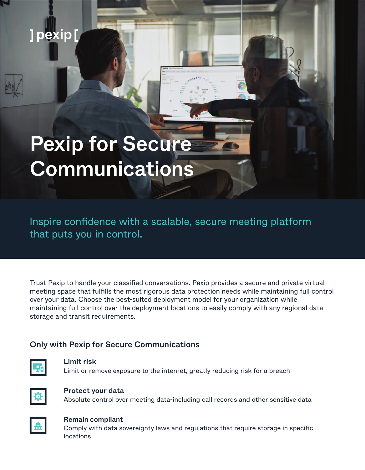# ]pexip[

# Pexip for Secure **Communications**

Inspire confidence with a scalable, secure meeting platform that puts you in control.

Trust Pexip to handle your classified conversations. Pexip provides a secure and private virtual meeting space that fulfills the most rigorous data protection needs while maintaining full control over your data. Choose the best-suited deployment model for your organization while maintaining full control over the deployment locations to easily comply with any regional data storage and transit requirements.

# Only with Pexip for Secure Communications



### Limit risk

Limit or remove exposure to the internet, greatly reducing risk for a breach



#### Protect your data

Absolute control over meeting data-including call records and other sensitive data



#### Remain compliant

Comply with data sovereignty laws and regulations that require storage in specific locations